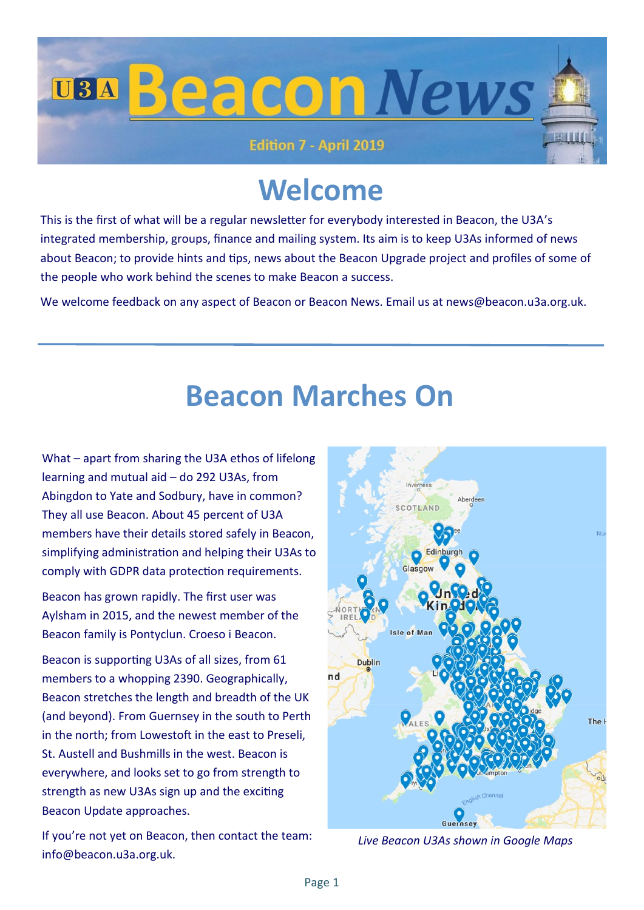

### **Welcome**

This is the first of what will be a regular newsletter for everybody interested in Beacon, the U3A's integrated membership, groups, finance and mailing system. Its aim is to keep U3As informed of news about Beacon; to provide hints and tips, news about the Beacon Upgrade project and profiles of some of the people who work behind the scenes to make Beacon a success.

We welcome feedback on any aspect of Beacon or Beacon News. Email us at news@beacon.u3a.org.uk.

### **Beacon Marches On**

What – apart from sharing the U3A ethos of lifelong learning and mutual aid – do 292 U3As, from Abingdon to Yate and Sodbury, have in common? They all use Beacon. About 45 percent of U3A members have their details stored safely in Beacon, simplifying administration and helping their U3As to comply with GDPR data protection requirements.

Beacon has grown rapidly. The first user was Aylsham in 2015, and the newest member of the Beacon family is Pontyclun. Croeso i Beacon.

Beacon is supporting U3As of all sizes, from 61 members to a whopping 2390. Geographically, Beacon stretches the length and breadth of the UK (and beyond). From Guernsey in the south to Perth in the north; from Lowestoft in the east to Preseli, St. Austell and Bushmills in the west. Beacon is everywhere, and looks set to go from strength to strength as new U3As sign up and the exciting Beacon Update approaches.

If you're not yet on Beacon, then contact the team: info@beacon.u3a.org.uk.



*Live Beacon U3As shown in Google Maps*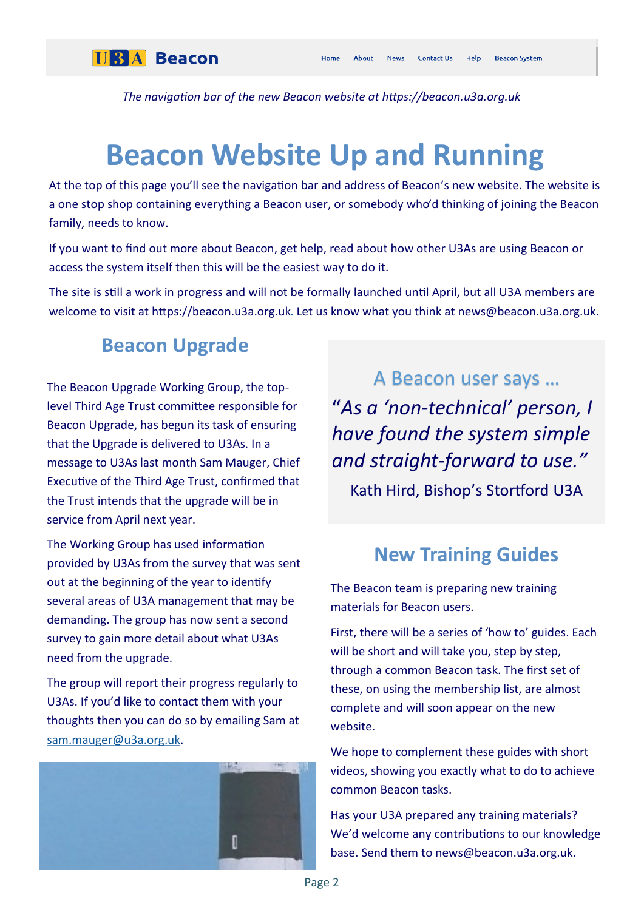

*The navigation bar of the new Beacon website at https://beacon.u3a.org.uk*

## **Beacon Website Up and Running**

At the top of this page you'll see the navigation bar and address of Beacon's new website. The website is a one stop shop containing everything a Beacon user, or somebody who'd thinking of joining the Beacon family, needs to know.

If you want to find out more about Beacon, get help, read about how other U3As are using Beacon or access the system itself then this will be the easiest way to do it.

The site is still a work in progress and will not be formally launched until April, but all U3A members are welcome to visit at https://beacon.u3a.org.uk. Let us know what you think at news@beacon.u3a.org.uk.

#### **Beacon Upgrade**

The Beacon Upgrade Working Group, the toplevel Third Age Trust committee responsible for Beacon Upgrade, has begun its task of ensuring that the Upgrade is delivered to U3As. In a message to U3As last month Sam Mauger, Chief Executive of the Third Age Trust, confirmed that the Trust intends that the upgrade will be in service from April next year.

The Working Group has used information provided by U3As from the survey that was sent out at the beginning of the year to identify several areas of U3A management that may be demanding. The group has now sent a second survey to gain more detail about what U3As need from the upgrade.

The group will report their progress regularly to U3As. If you'd like to contact them with your thoughts then you can do so by emailing Sam at [sam.mauger@u3a.org.uk.](mailto:sam.mauger@u3a.org.uk)



A Beacon user says … "*As a 'non-technical' person, I have found the system simple and straight-forward to use."* Kath Hird, Bishop's Stortford U3A

#### **New Training Guides**

The Beacon team is preparing new training materials for Beacon users.

First, there will be a series of 'how to' guides. Each will be short and will take you, step by step, through a common Beacon task. The first set of these, on using the membership list, are almost complete and will soon appear on the new website.

We hope to complement these guides with short videos, showing you exactly what to do to achieve common Beacon tasks.

Has your U3A prepared any training materials? We'd welcome any contributions to our knowledge base. Send them to news@beacon.u3a.org.uk.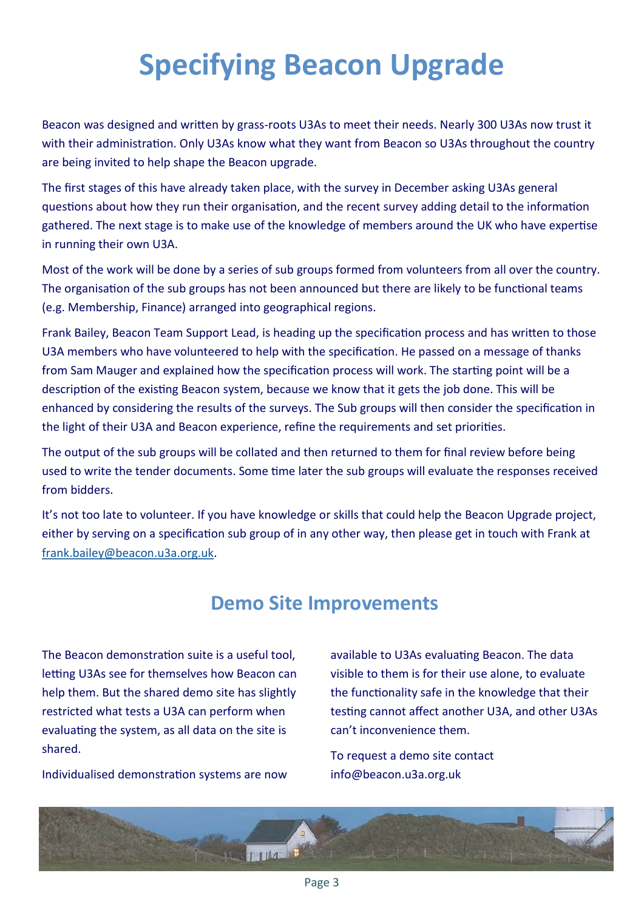# **Specifying Beacon Upgrade**

Beacon was designed and written by grass-roots U3As to meet their needs. Nearly 300 U3As now trust it with their administration. Only U3As know what they want from Beacon so U3As throughout the country are being invited to help shape the Beacon upgrade.

The first stages of this have already taken place, with the survey in December asking U3As general questions about how they run their organisation, and the recent survey adding detail to the information gathered. The next stage is to make use of the knowledge of members around the UK who have expertise in running their own U3A.

Most of the work will be done by a series of sub groups formed from volunteers from all over the country. The organisation of the sub groups has not been announced but there are likely to be functional teams (e.g. Membership, Finance) arranged into geographical regions.

Frank Bailey, Beacon Team Support Lead, is heading up the specification process and has written to those U3A members who have volunteered to help with the specification. He passed on a message of thanks from Sam Mauger and explained how the specification process will work. The starting point will be a description of the existing Beacon system, because we know that it gets the job done. This will be enhanced by considering the results of the surveys. The Sub groups will then consider the specification in the light of their U3A and Beacon experience, refine the requirements and set priorities.

The output of the sub groups will be collated and then returned to them for final review before being used to write the tender documents. Some time later the sub groups will evaluate the responses received from bidders.

It's not too late to volunteer. If you have knowledge or skills that could help the Beacon Upgrade project, either by serving on a specification sub group of in any other way, then please get in touch with Frank at [frank.bailey@beacon.u3a.org.uk.](mailto:frank.bailey@beacon.u3a.org.uk)

### **Demo Site Improvements**

The Beacon demonstration suite is a useful tool, letting U3As see for themselves how Beacon can help them. But the shared demo site has slightly restricted what tests a U3A can perform when evaluating the system, as all data on the site is shared.

Individualised demonstration systems are now

available to U3As evaluating Beacon. The data visible to them is for their use alone, to evaluate the functionality safe in the knowledge that their testing cannot affect another U3A, and other U3As can't inconvenience them.

To request a demo site contact info@beacon.u3a.org.uk